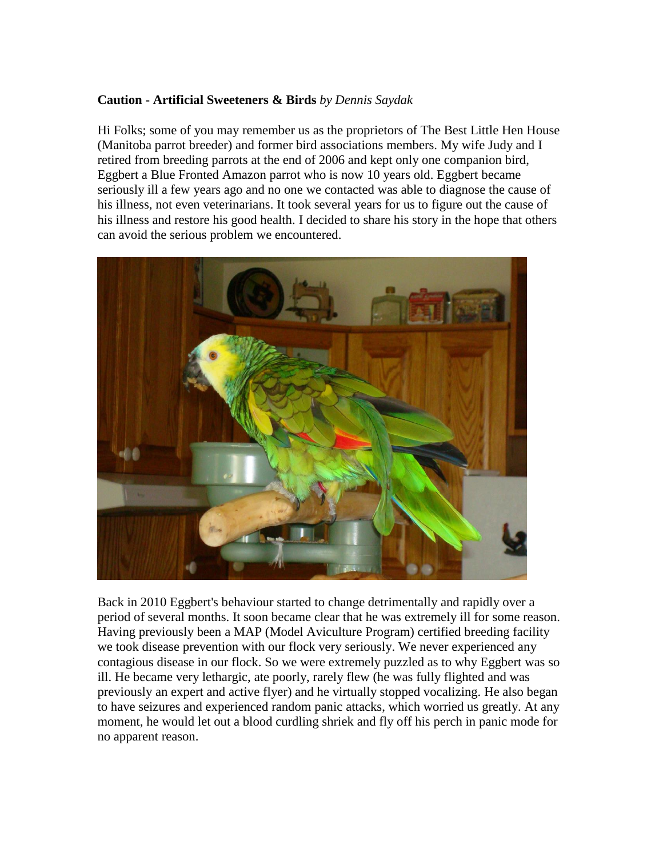## **Caution - Artificial Sweeteners & Birds** *by Dennis Saydak*

Hi Folks; some of you may remember us as the proprietors of The Best Little Hen House (Manitoba parrot breeder) and former bird associations members. My wife Judy and I retired from breeding parrots at the end of 2006 and kept only one companion bird, Eggbert a Blue Fronted Amazon parrot who is now 10 years old. Eggbert became seriously ill a few years ago and no one we contacted was able to diagnose the cause of his illness, not even veterinarians. It took several years for us to figure out the cause of his illness and restore his good health. I decided to share his story in the hope that others can avoid the serious problem we encountered.



Back in 2010 Eggbert's behaviour started to change detrimentally and rapidly over a period of several months. It soon became clear that he was extremely ill for some reason. Having previously been a MAP (Model Aviculture Program) certified breeding facility we took disease prevention with our flock very seriously. We never experienced any contagious disease in our flock. So we were extremely puzzled as to why Eggbert was so ill. He became very lethargic, ate poorly, rarely flew (he was fully flighted and was previously an expert and active flyer) and he virtually stopped vocalizing. He also began to have seizures and experienced random panic attacks, which worried us greatly. At any moment, he would let out a blood curdling shriek and fly off his perch in panic mode for no apparent reason.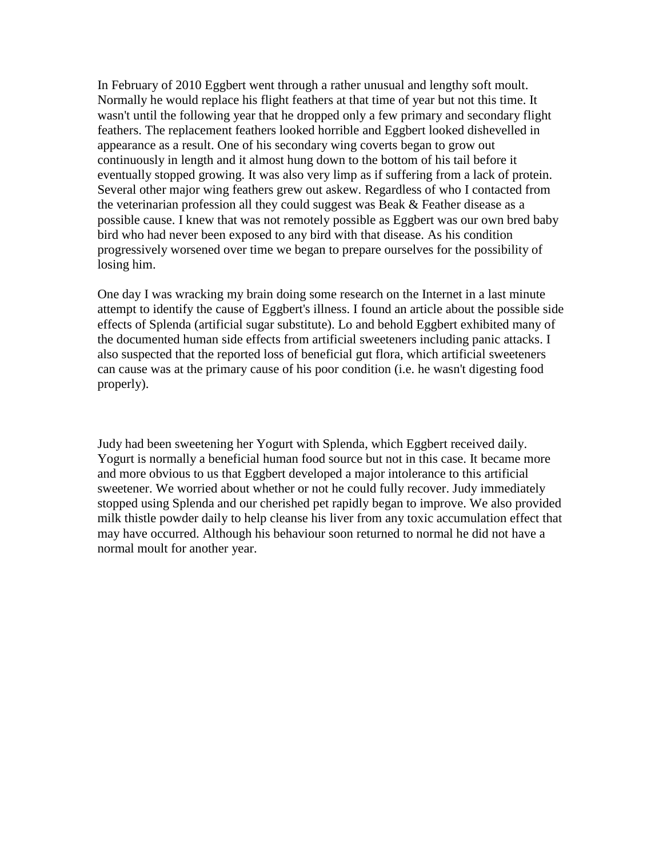In February of 2010 Eggbert went through a rather unusual and lengthy soft moult. Normally he would replace his flight feathers at that time of year but not this time. It wasn't until the following year that he dropped only a few primary and secondary flight feathers. The replacement feathers looked horrible and Eggbert looked dishevelled in appearance as a result. One of his secondary wing coverts began to grow out continuously in length and it almost hung down to the bottom of his tail before it eventually stopped growing. It was also very limp as if suffering from a lack of protein. Several other major wing feathers grew out askew. Regardless of who I contacted from the veterinarian profession all they could suggest was Beak & Feather disease as a possible cause. I knew that was not remotely possible as Eggbert was our own bred baby bird who had never been exposed to any bird with that disease. As his condition progressively worsened over time we began to prepare ourselves for the possibility of losing him.

One day I was wracking my brain doing some research on the Internet in a last minute attempt to identify the cause of Eggbert's illness. I found an article about the possible side effects of Splenda (artificial sugar substitute). Lo and behold Eggbert exhibited many of the documented human side effects from artificial sweeteners including panic attacks. I also suspected that the reported loss of beneficial gut flora, which artificial sweeteners can cause was at the primary cause of his poor condition (i.e. he wasn't digesting food properly).

Judy had been sweetening her Yogurt with Splenda, which Eggbert received daily. Yogurt is normally a beneficial human food source but not in this case. It became more and more obvious to us that Eggbert developed a major intolerance to this artificial sweetener. We worried about whether or not he could fully recover. Judy immediately stopped using Splenda and our cherished pet rapidly began to improve. We also provided milk thistle powder daily to help cleanse his liver from any toxic accumulation effect that may have occurred. Although his behaviour soon returned to normal he did not have a normal moult for another year.